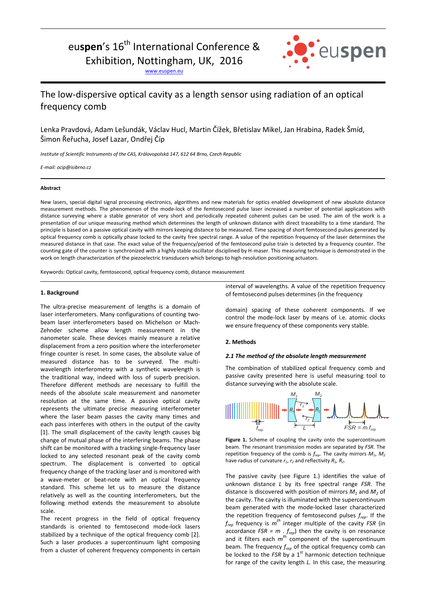# eu**spen**'s 16<sup>th</sup> International Conference &

Exhibition, Nottingham, UK, 2016

[www.euspen.eu](http://www.euspen.eu/)



# The low-dispersive optical cavity as a length sensor using radiation of an optical frequency comb

Lenka Pravdová, Adam Lešundák, Václav Hucl, Martin Čížek, Břetislav Mikel, Jan Hrabina, Radek Šmíd, Šimon Řeřucha, Josef Lazar, Ondřej Číp

*Institute of Scientific Instruments of the CAS, Královopolská 147, 612 64 Brno, Czech Republic*

*E-mail: ocip@isibrno.cz*

#### **Abstract**

New lasers, special digital signal processing electronics, algorithms and new materials for optics enabled development of new absolute distance measurement methods. The phenomenon of the mode-lock of the femtosecond pulse laser increased a number of potential applications with distance surveying where a stable generator of very short and periodically repeated coherent pulses can be used. The aim of the work is a presentation of our unique measuring method which determines the length of unknown distance with direct traceability to a time standard. The principle is based on a passive optical cavity with mirrors keeping distance to be measured. Time spacing of short femtosecond pulses generated by optical frequency comb is optically phase locked to the cavity free spectral range. A value of the repetition frequency of the laser determines the measured distance in that case. The exact value of the frequency/period of the femtosecond pulse train is detected by a frequency counter. The counting gate of the counter is synchronized with a highly stable oscillator disciplined by H-maser. This measuring technique is demonstrated in the work on length characterization of the piezoelectric transducers which belongs to high-resolution positioning actuators.

Keywords: Optical cavity, femtosecond, optical frequency comb, distance measurement

## **1. Background**

The ultra-precise measurement of lengths is a domain of laser interferometers. Many configurations of counting twobeam laser interferometers based on Michelson or Mach-Zehnder scheme allow length measurement in the nanometer scale. These devices mainly measure a relative displacement from a zero position where the interferometer fringe counter is reset. In some cases, the absolute value of measured distance has to be surveyed. The multiwavelength interferometry with a synthetic wavelength is the traditional way, indeed with loss of superb precision. Therefore different methods are necessary to fulfill the needs of the absolute scale measurement and nanometer resolution at the same time. A passive optical cavity represents the ultimate precise measuring interferometer where the laser beam passes the cavity many times and each pass interferes with others in the output of the cavity [1]. The small displacement of the cavity length causes big change of mutual phase of the interfering beams. The phase shift can be monitored with a tracking single-frequency laser locked to any selected resonant peak of the cavity comb spectrum. The displacement is converted to optical frequency change of the tracking laser and is monitored with a wave-meter or beat-note with an optical frequency standard. This scheme let us to measure the distance relatively as well as the counting interferometers, but the following method extends the measurement to absolute scale.

The recent progress in the field of optical frequency standards is oriented to femtosecond mode-lock lasers stabilized by a technique of the optical frequency comb [2]. Such a laser produces a supercontinuum light composing from a cluster of coherent frequency components in certain interval of wavelengths. A value of the repetition frequency of femtosecond pulses determines (in the frequency

domain) spacing of these coherent components. If we control the mode-lock laser by means of i.e. atomic clocks we ensure frequency of these components very stable.

### **2. Methods**

#### *2.1 The method of the absolute length measurement*

The combination of stabilized optical frequency comb and passive cavity presented here is useful measuring tool to distance surveying with the absolute scale.



**Figure 1.** Scheme of coupling the cavity onto the supercontinuum beam. The resonant transmission modes are separated by *FSR*. The repetition frequency of the comb is  $f_{\text{reco}}$ . The cavity mirrors  $M_1$ ,  $M_2$ have radius of curvature  $r_1$ ,  $r_2$  and reflectivity  $R_1$ ,  $R_2$ .

The passive cavity (see Figure 1.) identifies the value of unknown distance *L* by its free spectral range *FSR*. The distance is discovered with position of mirrors  $M_1$  and  $M_2$  of the cavity. The cavity is illuminated with the supercontinuum beam generated with the mode-locked laser characterized the repetition frequency of femtosecond pulses *frep*. If the  $f_{rep}$  frequency is  $m^{th}$  integer multiple of the cavity *FSR* (in accordance  $FSR = m \cdot f_{rep}$ ) then the cavity is on resonance and it filters each *m th* component of the supercontinuum beam. The frequency *frep* of the optical frequency comb can be locked to the *FSR* by a 1<sup>st</sup> harmonic detection technique for range of the cavity length *L.* In this case, the measuring